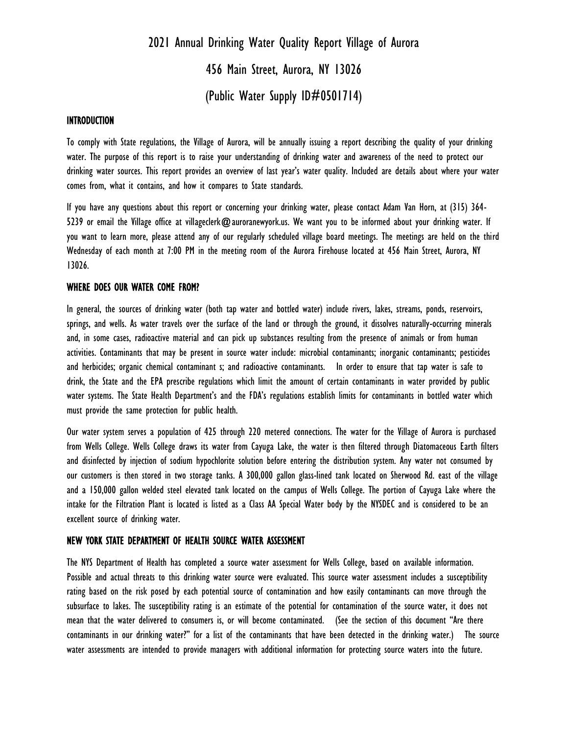# 2021 Annual Drinking Water Quality Report Village of Aurora 456 Main Street, Aurora, NY 13026 (Public Water Supply ID#0501714)

#### INTRODUCTION

To comply with State regulations, the Village of Aurora, will be annually issuing a report describing the quality of your drinking water. The purpose of this report is to raise your understanding of drinking water and awareness of the need to protect our drinking water sources. This report provides an overview of last year's water quality. Included are details about where your water comes from, what it contains, and how it compares to State standards.

If you have any questions about this report or concerning your drinking water, please contact Adam Van Horn, at (315) 364- 5239 or email the Village office at villageclerk@auroranewyork.us. We want you to be informed about your drinking water. If you want to learn more, please attend any of our regularly scheduled village board meetings. The meetings are held on the third Wednesday of each month at 7:00 PM in the meeting room of the Aurora Firehouse located at 456 Main Street, Aurora, NY 13026.

#### WHERE DOES OUR WATER COME FROM?

In general, the sources of drinking water (both tap water and bottled water) include rivers, lakes, streams, ponds, reservoirs, springs, and wells. As water travels over the surface of the land or through the ground, it dissolves naturally-occurring minerals and, in some cases, radioactive material and can pick up substances resulting from the presence of animals or from human activities. Contaminants that may be present in source water include: microbial contaminants; inorganic contaminants; pesticides and herbicides; organic chemical contaminant s; and radioactive contaminants. In order to ensure that tap water is safe to drink, the State and the EPA prescribe regulations which limit the amount of certain contaminants in water provided by public water systems. The State Health Department's and the FDA's regulations establish limits for contaminants in bottled water which must provide the same protection for public health.

Our water system serves a population of 425 through 220 metered connections. The water for the Village of Aurora is purchased from Wells College. Wells College draws its water from Cayuga Lake, the water is then filtered through Diatomaceous Earth filters and disinfected by injection of sodium hypochlorite solution before entering the distribution system. Any water not consumed by our customers is then stored in two storage tanks. A 300,000 gallon glass-lined tank located on Sherwood Rd. east of the village and a 150,000 gallon welded steel elevated tank located on the campus of Wells College. The portion of Cayuga Lake where the intake for the Filtration Plant is located is listed as a Class AA Special Water body by the NYSDEC and is considered to be an excellent source of drinking water.

#### NEW YORK STATE DEPARTMENT OF HEALTH SOURCE WATER ASSESSMENT

The NYS Department of Health has completed a source water assessment for Wells College, based on available information. Possible and actual threats to this drinking water source were evaluated. This source water assessment includes a susceptibility rating based on the risk posed by each potential source of contamination and how easily contaminants can move through the subsurface to lakes. The susceptibility rating is an estimate of the potential for contamination of the source water, it does not mean that the water delivered to consumers is, or will become contaminated. (See the section of this document "Are there contaminants in our drinking water?" for a list of the contaminants that have been detected in the drinking water.) The source water assessments are intended to provide managers with additional information for protecting source waters into the future.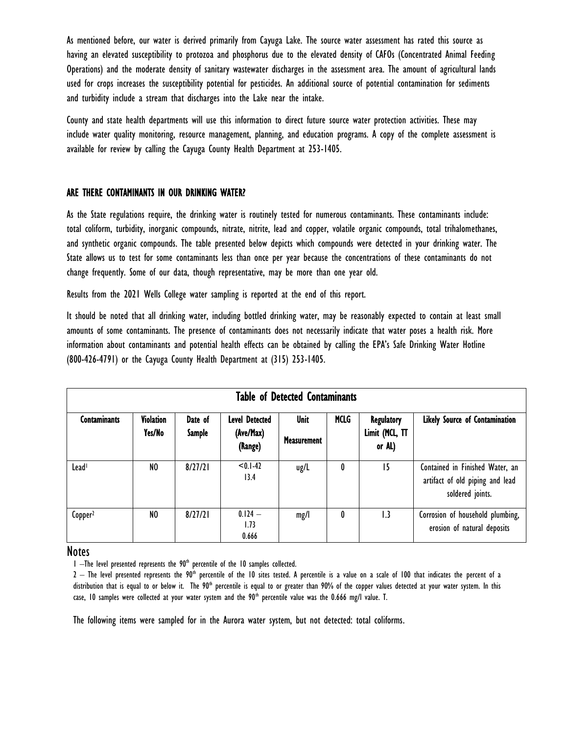As mentioned before, our water is derived primarily from Cayuga Lake. The source water assessment has rated this source as having an elevated susceptibility to protozoa and phosphorus due to the elevated density of CAFOs (Concentrated Animal Feeding Operations) and the moderate density of sanitary wastewater discharges in the assessment area. The amount of agricultural lands used for crops increases the susceptibility potential for pesticides. An additional source of potential contamination for sediments and turbidity include a stream that discharges into the Lake near the intake.

County and state health departments will use this information to direct future source water protection activities. These may include water quality monitoring, resource management, planning, and education programs. A copy of the complete assessment is available for review by calling the Cayuga County Health Department at 253-1405.

## ARE THERE CONTAMINANTS IN OUR DRINKING WATER?

As the State regulations require, the drinking water is routinely tested for numerous contaminants. These contaminants include: total coliform, turbidity, inorganic compounds, nitrate, nitrite, lead and copper, volatile organic compounds, total trihalomethanes, and synthetic organic compounds. The table presented below depicts which compounds were detected in your drinking water. The State allows us to test for some contaminants less than once per year because the concentrations of these contaminants do not change frequently. Some of our data, though representative, may be more than one year old.

Results from the 2021 Wells College water sampling is reported at the end of this report.

It should be noted that all drinking water, including bottled drinking water, may be reasonably expected to contain at least small amounts of some contaminants. The presence of contaminants does not necessarily indicate that water poses a health risk. More information about contaminants and potential health effects can be obtained by calling the EPA's Safe Drinking Water Hotline (800-426-4791) or the Cayuga County Health Department at (315) 253-1405.

| <b>Table of Detected Contaminants</b> |                            |                          |                                               |                                   |             |                                        |                                                                                        |
|---------------------------------------|----------------------------|--------------------------|-----------------------------------------------|-----------------------------------|-------------|----------------------------------------|----------------------------------------------------------------------------------------|
| <b>Contaminants</b>                   | <b>Violation</b><br>Yes/No | Date of<br><b>Sample</b> | <b>Level Detected</b><br>(Ave/Max)<br>(Range) | <b>Unit</b><br><b>Measurement</b> | <b>MCLG</b> | Regulatory<br>Limit (MCL, TT<br>or AL) | Likely Source of Contamination                                                         |
| Lead <sup>1</sup>                     | NO                         | 8/27/21                  | $< 0.1 - 42$<br>13.4                          | ug/L                              | 0           | 15                                     | Contained in Finished Water, an<br>artifact of old piping and lead<br>soldered joints. |
| Copper <sup>2</sup>                   | NO                         | 8/27/21                  | $0.124 -$<br>1.73<br>0.666                    | mg/l                              | 0           | 1.3                                    | Corrosion of household plumbing,<br>erosion of natural deposits                        |

## **Notes**

 $1$  –The level presented represents the  $90<sup>th</sup>$  percentile of the 10 samples collected.

 $2$  – The level presented represents the 90<sup>th</sup> percentile of the 10 sites tested. A percentile is a value on a scale of 100 that indicates the percent of a distribution that is equal to or below it. The 90<sup>th</sup> percentile is equal to or greater than 90% of the copper values detected at your water system. In this case, 10 samples were collected at your water system and the  $90<sup>th</sup>$  percentile value was the 0.666 mg/l value. T.

The following items were sampled for in the Aurora water system, but not detected: total coliforms.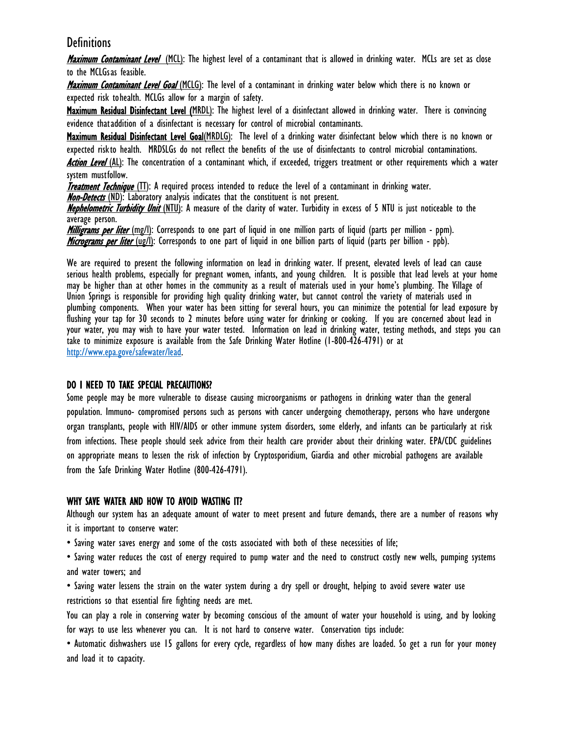# **Definitions**

Maximum Contaminant Level (MCL): The highest level of a contaminant that is allowed in drinking water. MCLs are set as close to the MCLGsas feasible.

Maximum Contaminant Level Goal (MCLG): The level of a contaminant in drinking water below which there is no known or expected risk tohealth. MCLGs allow for a margin of safety.

Maximum Residual Disinfectant Level (MRDL): The highest level of a disinfectant allowed in drinking water. There is convincing evidence thataddition of a disinfectant is necessary for control of microbial contaminants.

Maximum Residual Disinfectant Level Goal(MRDLG): The level of a drinking water disinfectant below which there is no known or expected riskto health. MRDSLGs do not reflect the benefits of the use of disinfectants to control microbial contaminations.

Action Level (AL): The concentration of a contaminant which, if exceeded, triggers treatment or other requirements which a water system mustfollow.

**Treatment Technique** (TT): A required process intended to reduce the level of a contaminant in drinking water.

**Non-Detects** (ND): Laboratory analysis indicates that the constituent is not present.

Nephelometric Turbidity Unit (NTU): A measure of the clarity of water. Turbidity in excess of 5 NTU is just noticeable to the average person.

Milligrams per liter (mg/l): Corresponds to one part of liquid in one million parts of liquid (parts per million - ppm). Micrograms per liter (ug/l): Corresponds to one part of liquid in one billion parts of liquid (parts per billion - ppb).

We are required to present the following information on lead in drinking water. If present, elevated levels of lead can cause serious health problems, especially for pregnant women, infants, and young children. It is possible that lead levels at your home may be higher than at other homes in the community as a result of materials used in your home's plumbing. The Village of Union Springs is responsible for providing high quality drinking water, but cannot control the variety of materials used in plumbing components. When your water has been sitting for several hours, you can minimize the potential for lead exposure by flushing your tap for 30 seconds to 2 minutes before using water for drinking or cooking. If you are concerned about lead in your water, you may wish to have your water tested. Information on lead in drinking water, testing methods, and steps you can take to minimize exposure is available from the Safe Drinking Water Hotline (1-800-426-4791) or at [http://www.epa.gove/safewater/lead.](http://www.epa.gove/safewater/lead)

## DO I NEED TO TAKE SPECIAL PRECAUTIONS?

Some people may be more vulnerable to disease causing microorganisms or pathogens in drinking water than the general population. Immuno- compromised persons such as persons with cancer undergoing chemotherapy, persons who have undergone organ transplants, people with HIV/AIDS or other immune system disorders, some elderly, and infants can be particularly at risk from infections. These people should seek advice from their health care provider about their drinking water. EPA/CDC guidelines on appropriate means to lessen the risk of infection by Cryptosporidium, Giardia and other microbial pathogens are available from the Safe Drinking Water Hotline (800-426-4791).

## WHY SAVE WATER AND HOW TO AVOID WASTING IT?

Although our system has an adequate amount of water to meet present and future demands, there are a number of reasons why it is important to conserve water:

• Saving water saves energy and some of the costs associated with both of these necessities of life;

• Saving water reduces the cost of energy required to pump water and the need to construct costly new wells, pumping systems and water towers; and

• Saving water lessens the strain on the water system during a dry spell or drought, helping to avoid severe water use restrictions so that essential fire fighting needs are met.

You can play a role in conserving water by becoming conscious of the amount of water your household is using, and by looking for ways to use less whenever you can. It is not hard to conserve water. Conservation tips include:

• Automatic dishwashers use 15 gallons for every cycle, regardless of how many dishes are loaded. So get a run for your money and load it to capacity.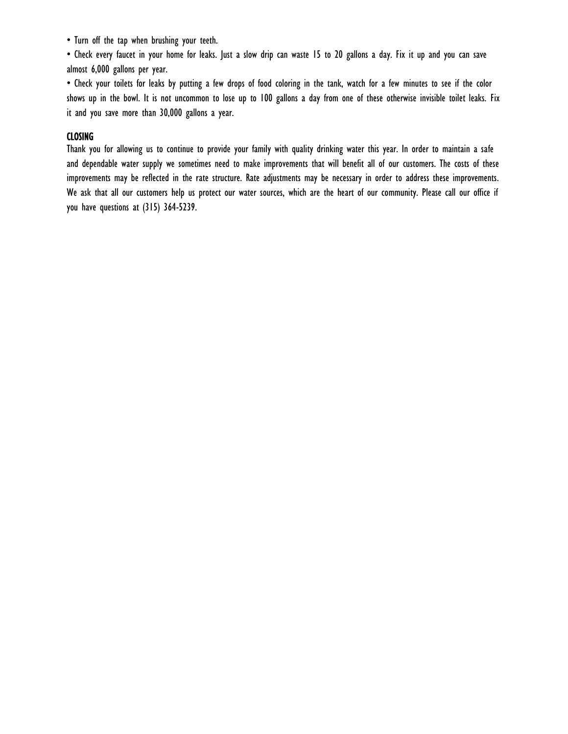• Turn off the tap when brushing your teeth.

• Check every faucet in your home for leaks. Just a slow drip can waste 15 to 20 gallons a day. Fix it up and you can save almost 6,000 gallons per year.

• Check your toilets for leaks by putting a few drops of food coloring in the tank, watch for a few minutes to see if the color shows up in the bowl. It is not uncommon to lose up to 100 gallons a day from one of these otherwise invisible toilet leaks. Fix it and you save more than 30,000 gallons a year.

## CLOSING

Thank you for allowing us to continue to provide your family with quality drinking water this year. In order to maintain a safe and dependable water supply we sometimes need to make improvements that will benefit all of our customers. The costs of these improvements may be reflected in the rate structure. Rate adjustments may be necessary in order to address these improvements. We ask that all our customers help us protect our water sources, which are the heart of our community. Please call our office if you have questions at (315) 364-5239.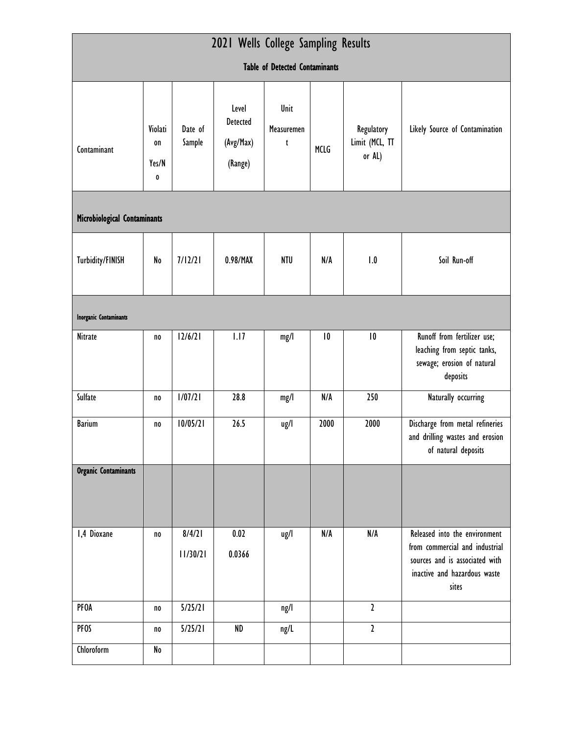| 2021 Wells College Sampling Results   |                                     |                    |                                                  |                         |      |                                        |                                                                                                                                            |  |  |
|---------------------------------------|-------------------------------------|--------------------|--------------------------------------------------|-------------------------|------|----------------------------------------|--------------------------------------------------------------------------------------------------------------------------------------------|--|--|
| <b>Table of Detected Contaminants</b> |                                     |                    |                                                  |                         |      |                                        |                                                                                                                                            |  |  |
| Contaminant                           | Violati<br>0n<br>Yes/N<br>$\pmb{0}$ | Date of<br>Sample  | Level<br><b>Detected</b><br>(Avg/Max)<br>(Range) | Unit<br>Measuremen<br>t | MCLG | Regulatory<br>Limit (MCL, TT<br>or AL) | Likely Source of Contamination                                                                                                             |  |  |
| Microbiological Contaminants          |                                     |                    |                                                  |                         |      |                                        |                                                                                                                                            |  |  |
| <b>Turbidity/FINISH</b>               | No                                  | 7/12/21            | 0.98/MAX                                         | <b>NTU</b>              | N/A  | 1.0                                    | Soil Run-off                                                                                                                               |  |  |
| <b>Inorganic Contaminants</b>         |                                     |                    |                                                  |                         |      |                                        |                                                                                                                                            |  |  |
| Nitrate                               | no                                  | 12/6/21            | 1.17                                             | mg/l                    | 10   | 10                                     | Runoff from fertilizer use;<br>leaching from septic tanks,<br>sewage; erosion of natural<br>deposits                                       |  |  |
| Sulfate                               | no                                  | 1/07/21            | 28.8                                             | mg/l                    | N/A  | 250                                    | Naturally occurring                                                                                                                        |  |  |
| <b>Barium</b>                         | no                                  | 10/05/21           | 26.5                                             | ug/l                    | 2000 | 2000                                   | Discharge from metal refineries<br>and drilling wastes and erosion<br>of natural deposits                                                  |  |  |
| <b>Organic Contaminants</b>           |                                     |                    |                                                  |                         |      |                                        |                                                                                                                                            |  |  |
| 1,4 Dioxane                           | no                                  | 8/4/21<br>11/30/21 | 0.02<br>0.0366                                   | ug/l                    | N/A  | N/A                                    | Released into the environment<br>from commercial and industrial<br>sources and is associated with<br>inactive and hazardous waste<br>sites |  |  |
| PFOA                                  | no                                  | 5/25/21            |                                                  | ng/l                    |      | $\mathbf{2}$                           |                                                                                                                                            |  |  |
| <b>PFOS</b>                           | no                                  | 5/25/21            | <b>ND</b>                                        | ng/L                    |      | $\mathbf{2}$                           |                                                                                                                                            |  |  |
| Chloroform                            | No                                  |                    |                                                  |                         |      |                                        |                                                                                                                                            |  |  |